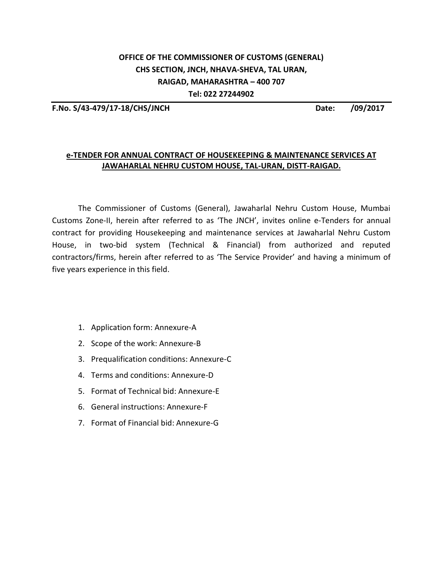## **OFFICE OF THE COMMISSIONER OF CUSTOMS (GENERAL) CHS SECTION, JNCH, NHAVA-SHEVA, TAL URAN, RAIGAD, MAHARASHTRA – 400 707**

**Tel: 022 27244902** 

**F.No. S/43-479/17-18/CHS/JNCH Date: /09/2017**

## **e-TENDER FOR ANNUAL CONTRACT OF HOUSEKEEPING & MAINTENANCE SERVICES AT JAWAHARLAL NEHRU CUSTOM HOUSE, TAL-URAN, DISTT-RAIGAD.**

The Commissioner of Customs (General), Jawaharlal Nehru Custom House, Mumbai Customs Zone-II, herein after referred to as 'The JNCH', invites online e-Tenders for annual contract for providing Housekeeping and maintenance services at Jawaharlal Nehru Custom House, in two-bid system (Technical & Financial) from authorized and reputed contractors/firms, herein after referred to as 'The Service Provider' and having a minimum of five years experience in this field.

- 1. Application form: Annexure-A
- 2. Scope of the work: Annexure-B
- 3. Prequalification conditions: Annexure-C
- 4. Terms and conditions: Annexure-D
- 5. Format of Technical bid: Annexure-E
- 6. General instructions: Annexure-F
- 7. Format of Financial bid: Annexure-G